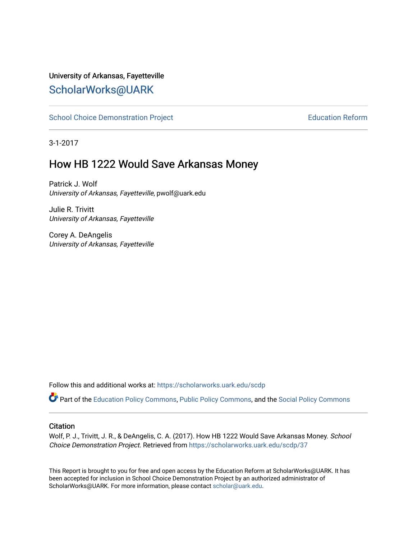#### University of Arkansas, Fayetteville [ScholarWorks@UARK](https://scholarworks.uark.edu/)

[School Choice Demonstration Project](https://scholarworks.uark.edu/scdp) **Education Reform** Education Reform

3-1-2017

#### How HB 1222 Would Save Arkansas Money

Patrick J. Wolf University of Arkansas, Fayetteville, pwolf@uark.edu

Julie R. Trivitt University of Arkansas, Fayetteville

Corey A. DeAngelis University of Arkansas, Fayetteville

Follow this and additional works at: [https://scholarworks.uark.edu/scdp](https://scholarworks.uark.edu/scdp?utm_source=scholarworks.uark.edu%2Fscdp%2F37&utm_medium=PDF&utm_campaign=PDFCoverPages) 

Part of the [Education Policy Commons](http://network.bepress.com/hgg/discipline/1026?utm_source=scholarworks.uark.edu%2Fscdp%2F37&utm_medium=PDF&utm_campaign=PDFCoverPages), [Public Policy Commons](http://network.bepress.com/hgg/discipline/400?utm_source=scholarworks.uark.edu%2Fscdp%2F37&utm_medium=PDF&utm_campaign=PDFCoverPages), and the [Social Policy Commons](http://network.bepress.com/hgg/discipline/1030?utm_source=scholarworks.uark.edu%2Fscdp%2F37&utm_medium=PDF&utm_campaign=PDFCoverPages)

#### **Citation**

Wolf, P. J., Trivitt, J. R., & DeAngelis, C. A. (2017). How HB 1222 Would Save Arkansas Money. School Choice Demonstration Project. Retrieved from [https://scholarworks.uark.edu/scdp/37](https://scholarworks.uark.edu/scdp/37?utm_source=scholarworks.uark.edu%2Fscdp%2F37&utm_medium=PDF&utm_campaign=PDFCoverPages) 

This Report is brought to you for free and open access by the Education Reform at ScholarWorks@UARK. It has been accepted for inclusion in School Choice Demonstration Project by an authorized administrator of ScholarWorks@UARK. For more information, please contact [scholar@uark.edu](mailto:scholar@uark.edu).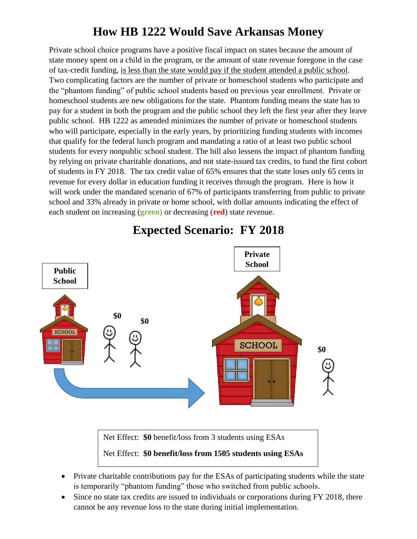## **How HB 1222 Would Save Arkansas Money**

Private school choice programs have a positive fiscal impact on states because the amount of state money spent on a child in the program, or the amount of state revenue foregone in the case of tax-credit funding, is less than the state would pay if the student attended a public school. Two complicating factors are the number of private or homeschool students who participate and the "phantom funding" of public school students based on previous year enrollment. Private or homeschool students are new obligations for the state. Phantom funding means the state has to pay for a student in both the program and the public school they left the first year after they leave public school. HB 1222 as amended minimizes the number of private or homeschool students who will participate, especially in the early years, by prioritizing funding students with incomes that qualify for the federal lunch program and mandating a ratio of at least two public school students for every nonpublic school student. The bill also lessens the impact of phantom funding by relying on private charitable donations, and not state-issued tax credits, to fund the first cohort of students in FY 2018. The tax credit value of 65% ensures that the state loses only 65 cents in revenue for every dollar in education funding it receives through the program. Here is how it will work under the mandated scenario of 67% of participants transferring from public to private school and 33% already in private or home school, with dollar amounts indicating the effect of each student on increasing (**green)** or decreasing (**red**) state revenue.



## **Expected Scenario: FY 2018**

Net Effect: **\$0** benefit/loss from 3 students using ESAs

#### Net Effect: **\$0 benefit/loss from 1505 students using ESAs**

- Private charitable contributions pay for the ESAs of participating students while the state is temporarily "phantom funding" those who switched from public schools.
- Since no state tax credits are issued to individuals or corporations during FY 2018, there cannot be any revenue loss to the state during initial implementation.